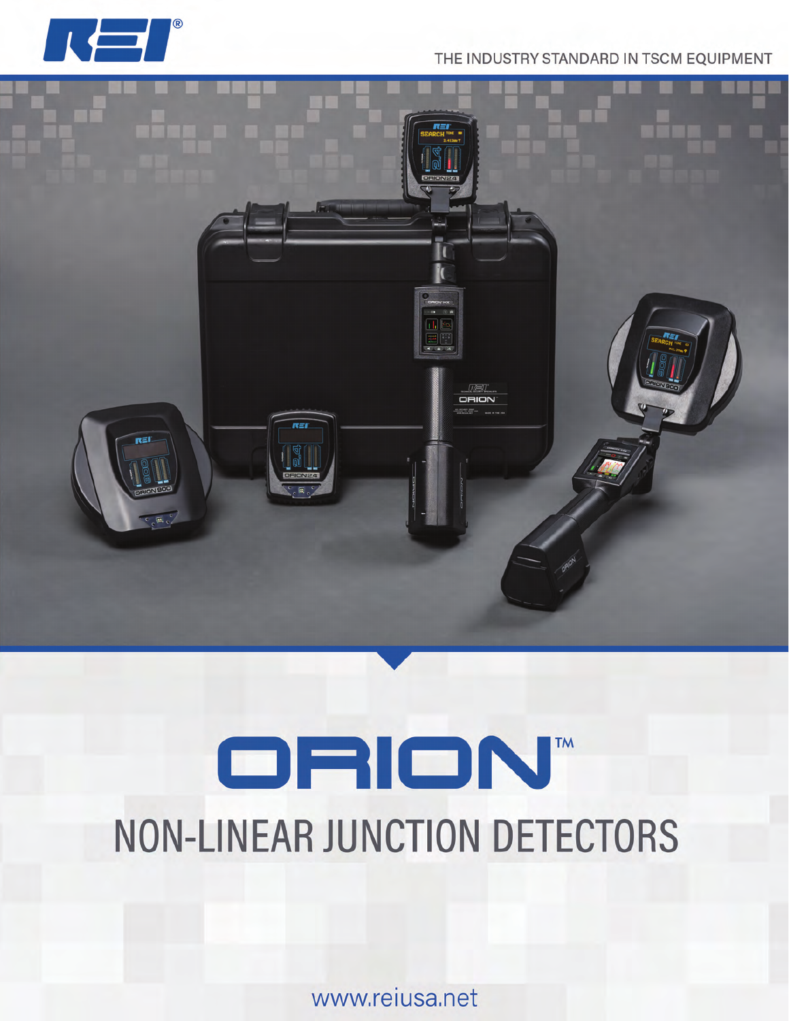

## THE INDUSTRY STANDARD IN TSCM EQUIPMENT



# ORION" **NON-LINEAR JUNCTION DETECTORS**

www.reiusa.net